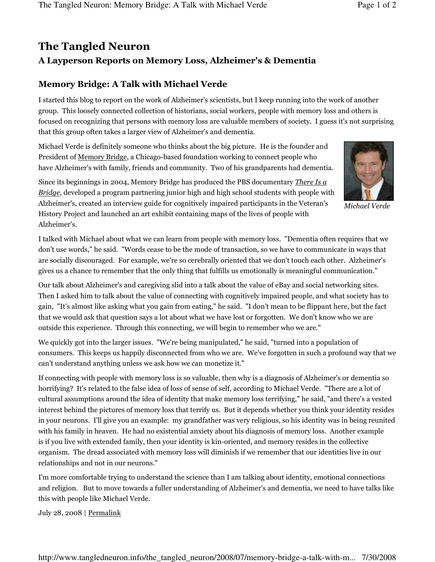## The Tangled Neuron A Layperson Reports on Memory Loss, Alzheimer's & Dementia

## Memory Bridge: A Talk with Michael Verde

I started this blog to report on the work of Alzheimer's scientists, but I keep running into the work of another group. This loosely connected collection of historians, social workers, people with memory loss and others is focused on recognizing that persons with memory loss are valuable members of society. I guess it's not surprising that this group often takes a larger view of Alzheimer's and dementia.

Michael Verde is definitely someone who thinks about the big picture. He is the founder and President of Memory Bridge, a Chicago-based foundation working to connect people who have Alzheimer's with family, friends and community. Two of his grandparents had dementia.



Since its beginnings in 2004, Memory Bridge has produced the PBS documentary *There Is a* Bridge, developed a program partnering junior high and high school students with people with Alzheimer's, created an interview guide for cognitively impaired participants in the Veteran's History Project and launched an art exhibit containing maps of the lives of people with Alzheimer's.

I talked with Michael about what we can learn from people with memory loss. "Dementia often requires that we don't use words," he said. "Words cease to be the mode of transaction, so we have to communicate in ways that are socially discouraged. For example, we're so cerebrally oriented that we don't touch each other. Alzheimer's gives us a chance to remember that the only thing that fulfills us emotionally is meaningful communication."

Our talk about Alzheimer's and caregiving slid into a talk about the value of eBay and social networking sites. Then I asked him to talk about the value of connecting with cognitively impaired people, and what society has to gain, "It's almost like asking what you gain from eating," he said. "I don't mean to be flippant here, but the fact that we would ask that question says a lot about what we have lost or forgotten. We don't know who we are outside this experience. Through this connecting, we will begin to remember who we are."

We quickly got into the larger issues. "We're being manipulated," he said, "turned into a population of consumers. This keeps us happily disconnected from who we are. We've forgotten in such a profound way that we can't understand anything unless we ask how we can monetize it."

If connecting with people with memory loss is so valuable, then why is a diagnosis of Alzheimer's or dementia so horrifying? It's related to the false idea of loss of sense of self, according to Michael Verde. "There are a lot of cultural assumptions around the idea of identity that make memory loss terrifying," he said, "and there's a vested interest behind the pictures of memory loss that terrify us. But it depends whether you think your identity resides in your neurons. I'll give you an example: my grandfather was very religious, so his identity was in being reunited with his family in heaven. He had no existential anxiety about his diagnosis of memory loss. Another example is if you live with extended family, then your identity is kin-oriented, and memory resides in the collective organism. The dread associated with memory loss will diminish if we remember that our identities live in our relationships and not in our neurons."

I'm more comfortable trying to understand the science than I am talking about identity, emotional connections and religion. But to move towards a fuller understanding of Alzheimer's and dementia, we need to have talks like this with people like Michael Verde.

July 28, 2008 | Permalink